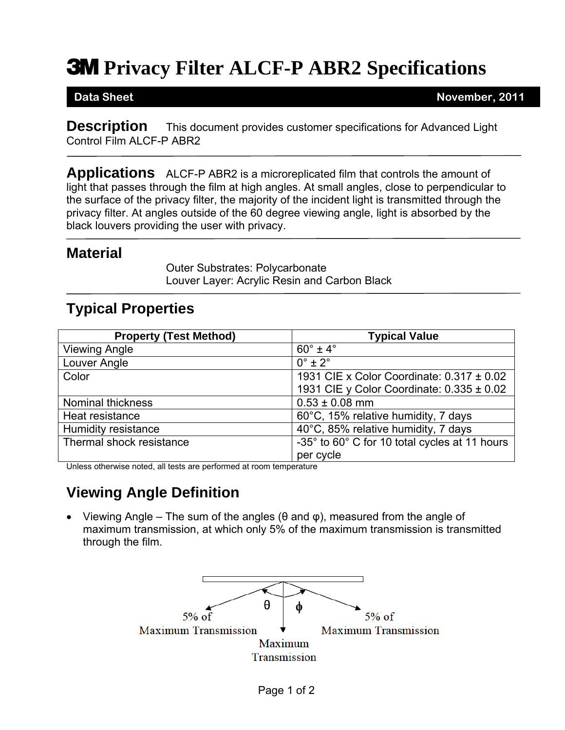# **3M** Privacy Filter ALCF-P ABR2 Specifications

**Data Sheet November, 2011** 

**Description** This document provides customer specifications for Advanced Light Control Film ALCF-P ABR2

**Applications** ALCF-P ABR2 is a microreplicated film that controls the amount of light that passes through the film at high angles. At small angles, close to perpendicular to the surface of the privacy filter, the majority of the incident light is transmitted through the privacy filter. At angles outside of the 60 degree viewing angle, light is absorbed by the black louvers providing the user with privacy.

#### **Material**

Outer Substrates: Polycarbonate Louver Layer: Acrylic Resin and Carbon Black

### **Typical Properties**

| <b>Property (Test Method)</b> | <b>Typical Value</b>                          |
|-------------------------------|-----------------------------------------------|
| <b>Viewing Angle</b>          | $60^\circ \pm 4^\circ$                        |
| Louver Angle                  | $0^\circ \pm 2^\circ$                         |
| Color                         | 1931 CIE x Color Coordinate: $0.317 \pm 0.02$ |
|                               | 1931 CIE y Color Coordinate: $0.335 \pm 0.02$ |
| <b>Nominal thickness</b>      | $0.53 \pm 0.08$ mm                            |
| Heat resistance               | 60°C, 15% relative humidity, 7 days           |
| <b>Humidity resistance</b>    | 40°C, 85% relative humidity, 7 days           |
| Thermal shock resistance      | -35° to 60° C for 10 total cycles at 11 hours |
|                               | per cycle                                     |

Unless otherwise noted, all tests are performed at room temperature

## **Viewing Angle Definition**

• Viewing Angle – The sum of the angles ( $\theta$  and  $\phi$ ), measured from the angle of maximum transmission, at which only 5% of the maximum transmission is transmitted through the film.